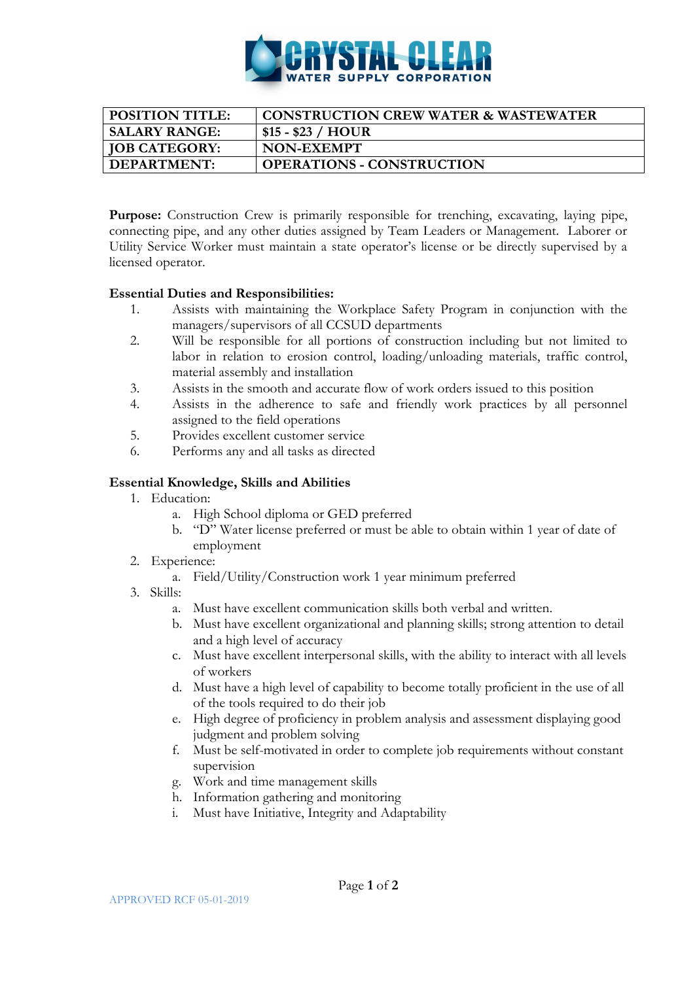

| <b>POSITION TITLE:</b> | CONSTRUCTION CREW WATER & WASTEWATER |
|------------------------|--------------------------------------|
| <b>SALARY RANGE:</b>   | $$15 - $23 / HOUR$                   |
| <b>JOB CATEGORY:</b>   | NON-EXEMPT                           |
| DEPARTMENT:            | <b>OPERATIONS - CONSTRUCTION</b>     |

**Purpose:** Construction Crew is primarily responsible for trenching, excavating, laying pipe, connecting pipe, and any other duties assigned by Team Leaders or Management. Laborer or Utility Service Worker must maintain a state operator's license or be directly supervised by a licensed operator.

## **Essential Duties and Responsibilities:**

- 1. Assists with maintaining the Workplace Safety Program in conjunction with the managers/supervisors of all CCSUD departments
- 2. Will be responsible for all portions of construction including but not limited to labor in relation to erosion control, loading/unloading materials, traffic control, material assembly and installation
- 3. Assists in the smooth and accurate flow of work orders issued to this position
- 4. Assists in the adherence to safe and friendly work practices by all personnel assigned to the field operations
- 5. Provides excellent customer service
- 6. Performs any and all tasks as directed

## **Essential Knowledge, Skills and Abilities**

- 1. Education:
	- a. High School diploma or GED preferred
	- b. "D" Water license preferred or must be able to obtain within 1 year of date of employment
- 2. Experience:
	- a. Field/Utility/Construction work 1 year minimum preferred
- 3. Skills:
	- a. Must have excellent communication skills both verbal and written.
	- b. Must have excellent organizational and planning skills; strong attention to detail and a high level of accuracy
	- c. Must have excellent interpersonal skills, with the ability to interact with all levels of workers
	- d. Must have a high level of capability to become totally proficient in the use of all of the tools required to do their job
	- e. High degree of proficiency in problem analysis and assessment displaying good judgment and problem solving
	- f. Must be self-motivated in order to complete job requirements without constant supervision
	- g. Work and time management skills
	- h. Information gathering and monitoring
	- i. Must have Initiative, Integrity and Adaptability